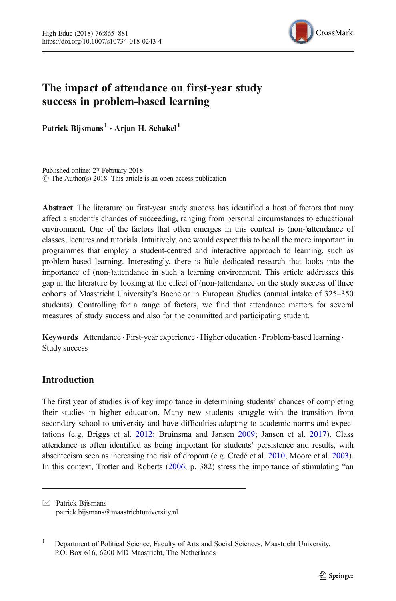

# The impact of attendance on first-year study success in problem-based learning

Patrick Bijsmans<sup>1</sup> · Arjan H. Schakel<sup>1</sup>

Published online: 27 February 2018  $\circ$  The Author(s) 2018. This article is an open access publication

Abstract The literature on first-year study success has identified a host of factors that may affect a student's chances of succeeding, ranging from personal circumstances to educational environment. One of the factors that often emerges in this context is (non-)attendance of classes, lectures and tutorials. Intuitively, one would expect this to be all the more important in programmes that employ a student-centred and interactive approach to learning, such as problem-based learning. Interestingly, there is little dedicated research that looks into the importance of (non-)attendance in such a learning environment. This article addresses this gap in the literature by looking at the effect of (non-)attendance on the study success of three cohorts of Maastricht University's Bachelor in European Studies (annual intake of 325–350 students). Controlling for a range of factors, we find that attendance matters for several measures of study success and also for the committed and participating student.

Keywords Attendance . First-year experience . Higher education . Problem-based learning . Study success

## **Introduction**

The first year of studies is of key importance in determining students' chances of completing their studies in higher education. Many new students struggle with the transition from secondary school to university and have difficulties adapting to academic norms and expectations (e.g. Briggs et al. [2012](#page-15-0); Bruinsma and Jansen [2009](#page-15-0); Jansen et al. [2017\)](#page-15-0). Class attendance is often identified as being important for students' persistence and results, with absenteeism seen as increasing the risk of dropout (e.g. Credé et al. [2010](#page-15-0); Moore et al. [2003](#page-15-0)). In this context, Trotter and Roberts ([2006](#page-16-0), p. 382) stress the importance of stimulating "an

 $\boxtimes$  Patrick Bijsmans [patrick.bijsmans@maastrichtuniversity.nl](mailto:patrick.bijsmans@maastrichtuniversity.nl)

<sup>1</sup> Department of Political Science, Faculty of Arts and Social Sciences, Maastricht University, P.O. Box 616, 6200 MD Maastricht, The Netherlands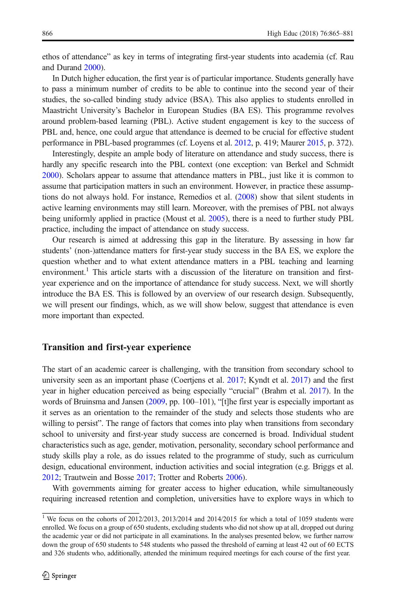ethos of attendance" as key in terms of integrating first-year students into academia (cf. Rau and Durand [2000\)](#page-15-0).

In Dutch higher education, the first year is of particular importance. Students generally have to pass a minimum number of credits to be able to continue into the second year of their studies, the so-called binding study advice (BSA). This also applies to students enrolled in Maastricht University's Bachelor in European Studies (BA ES). This programme revolves around problem-based learning (PBL). Active student engagement is key to the success of PBL and, hence, one could argue that attendance is deemed to be crucial for effective student performance in PBL-based programmes (cf. Loyens et al. [2012,](#page-15-0) p. 419; Maurer [2015](#page-15-0), p. 372).

Interestingly, despite an ample body of literature on attendance and study success, there is hardly any specific research into the PBL context (one exception: van Berkel and Schmidt [2000](#page-16-0)). Scholars appear to assume that attendance matters in PBL, just like it is common to assume that participation matters in such an environment. However, in practice these assumptions do not always hold. For instance, Remedios et al. [\(2008\)](#page-15-0) show that silent students in active learning environments may still learn. Moreover, with the premises of PBL not always being uniformly applied in practice (Moust et al. [2005\)](#page-15-0), there is a need to further study PBL practice, including the impact of attendance on study success.

Our research is aimed at addressing this gap in the literature. By assessing in how far students' (non-)attendance matters for first-year study success in the BA ES, we explore the question whether and to what extent attendance matters in a PBL teaching and learning environment.<sup>1</sup> This article starts with a discussion of the literature on transition and firstyear experience and on the importance of attendance for study success. Next, we will shortly introduce the BA ES. This is followed by an overview of our research design. Subsequently, we will present our findings, which, as we will show below, suggest that attendance is even more important than expected.

#### Transition and first-year experience

The start of an academic career is challenging, with the transition from secondary school to university seen as an important phase (Coertjens et al. [2017;](#page-15-0) Kyndt et al. [2017\)](#page-15-0) and the first year in higher education perceived as being especially "crucial" (Brahm et al. [2017\)](#page-15-0). In the words of Bruinsma and Jansen [\(2009](#page-15-0), pp. 100–101), "[t]he first year is especially important as it serves as an orientation to the remainder of the study and selects those students who are willing to persist". The range of factors that comes into play when transitions from secondary school to university and first-year study success are concerned is broad. Individual student characteristics such as age, gender, motivation, personality, secondary school performance and study skills play a role, as do issues related to the programme of study, such as curriculum design, educational environment, induction activities and social integration (e.g. Briggs et al. [2012](#page-15-0); Trautwein and Bosse [2017](#page-16-0); Trotter and Roberts [2006](#page-16-0)).

With governments aiming for greater access to higher education, while simultaneously requiring increased retention and completion, universities have to explore ways in which to

<sup>&</sup>lt;sup>1</sup> We focus on the cohorts of 2012/2013, 2013/2014 and 2014/2015 for which a total of 1059 students were enrolled. We focus on a group of 650 students, excluding students who did not show up at all, dropped out during the academic year or did not participate in all examinations. In the analyses presented below, we further narrow down the group of 650 students to 548 students who passed the threshold of earning at least 42 out of 60 ECTS and 326 students who, additionally, attended the minimum required meetings for each course of the first year.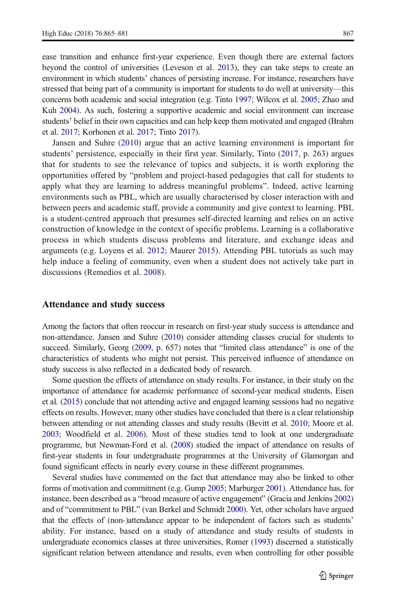ease transition and enhance first-year experience. Even though there are external factors beyond the control of universities (Leveson et al. [2013](#page-15-0)), they can take steps to create an environment in which students' chances of persisting increase. For instance, researchers have stressed that being part of a community is important for students to do well at university—this concerns both academic and social integration (e.g. Tinto [1997](#page-16-0); Wilcox et al. [2005;](#page-16-0) Zhao and Kuh [2004\)](#page-16-0). As such, fostering a supportive academic and social environment can increase students' belief in their own capacities and can help keep them motivated and engaged (Brahm et al. [2017](#page-15-0); Korhonen et al. [2017;](#page-15-0) Tinto [2017\)](#page-16-0).

Jansen and Suhre [\(2010\)](#page-15-0) argue that an active learning environment is important for students' persistence, especially in their first year. Similarly, Tinto ([2017](#page-16-0), p. 263) argues that for students to see the relevance of topics and subjects, it is worth exploring the opportunities offered by "problem and project-based pedagogies that call for students to apply what they are learning to address meaningful problems". Indeed, active learning environments such as PBL, which are usually characterised by closer interaction with and between peers and academic staff, provide a community and give context to learning. PBL is a student-centred approach that presumes self-directed learning and relies on an active construction of knowledge in the context of specific problems. Learning is a collaborative process in which students discuss problems and literature, and exchange ideas and arguments (e.g. Loyens et al. [2012;](#page-15-0) Maurer [2015](#page-15-0)). Attending PBL tutorials as such may help induce a feeling of community, even when a student does not actively take part in discussions (Remedios et al. [2008](#page-15-0)).

#### Attendance and study success

Among the factors that often reoccur in research on first-year study success is attendance and non-attendance. Jansen and Suhre [\(2010\)](#page-15-0) consider attending classes crucial for students to succeed. Similarly, Georg [\(2009,](#page-15-0) p. 657) notes that "limited class attendance" is one of the characteristics of students who might not persist. This perceived influence of attendance on study success is also reflected in a dedicated body of research.

Some question the effects of attendance on study results. For instance, in their study on the importance of attendance for academic performance of second-year medical students, Eisen et al. [\(2015](#page-15-0)) conclude that not attending active and engaged learning sessions had no negative effects on results. However, many other studies have concluded that there is a clear relationship between attending or not attending classes and study results (Bevitt et al. [2010](#page-14-0); Moore et al. [2003;](#page-15-0) Woodfield et al. [2006\)](#page-16-0). Most of these studies tend to look at one undergraduate programme, but Newman-Ford et al. ([2008](#page-15-0)) studied the impact of attendance on results of first-year students in four undergraduate programmes at the University of Glamorgan and found significant effects in nearly every course in these different programmes.

Several studies have commented on the fact that attendance may also be linked to other forms of motivation and commitment (e.g. Gump [2005;](#page-15-0) Marburger [2001\)](#page-15-0). Attendance has, for instance, been described as a "broad measure of active engagement" (Gracia and Jenkins [2002\)](#page-15-0) and of "commitment to PBL" (van Berkel and Schmidt [2000](#page-16-0)). Yet, other scholars have argued that the effects of (non-)attendance appear to be independent of factors such as students' ability. For instance, based on a study of attendance and study results of students in undergraduate economics classes at three universities, Romer ([1993](#page-16-0)) discerned a statistically significant relation between attendance and results, even when controlling for other possible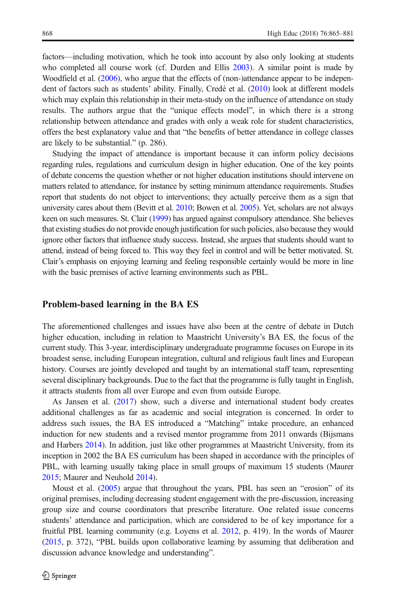factors—including motivation, which he took into account by also only looking at students who completed all course work (cf. Durden and Ellis [2003](#page-15-0)). A similar point is made by Woodfield et al. ([2006](#page-16-0)), who argue that the effects of (non-)attendance appear to be independent of factors such as students' ability. Finally, Credé et al. [\(2010\)](#page-15-0) look at different models which may explain this relationship in their meta-study on the influence of attendance on study results. The authors argue that the "unique effects model", in which there is a strong relationship between attendance and grades with only a weak role for student characteristics, offers the best explanatory value and that "the benefits of better attendance in college classes are likely to be substantial." (p. 286).

Studying the impact of attendance is important because it can inform policy decisions regarding rules, regulations and curriculum design in higher education. One of the key points of debate concerns the question whether or not higher education institutions should intervene on matters related to attendance, for instance by setting minimum attendance requirements. Studies report that students do not object to interventions; they actually perceive them as a sign that university cares about them (Bevitt et al. [2010](#page-14-0); Bowen et al. [2005](#page-14-0)). Yet, scholars are not always keen on such measures. St. Clair ([1999\)](#page-16-0) has argued against compulsory attendance. She believes that existing studies do not provide enough justification for such policies, also because they would ignore other factors that influence study success. Instead, she argues that students should want to attend, instead of being forced to. This way they feel in control and will be better motivated. St. Clair's emphasis on enjoying learning and feeling responsible certainly would be more in line with the basic premises of active learning environments such as PBL.

## Problem-based learning in the BA ES

The aforementioned challenges and issues have also been at the centre of debate in Dutch higher education, including in relation to Maastricht University's BA ES, the focus of the current study. This 3-year, interdisciplinary undergraduate programme focuses on Europe in its broadest sense, including European integration, cultural and religious fault lines and European history. Courses are jointly developed and taught by an international staff team, representing several disciplinary backgrounds. Due to the fact that the programme is fully taught in English, it attracts students from all over Europe and even from outside Europe.

As Jansen et al. ([2017](#page-15-0)) show, such a diverse and international student body creates additional challenges as far as academic and social integration is concerned. In order to address such issues, the BA ES introduced a "Matching" intake procedure, an enhanced induction for new students and a revised mentor programme from 2011 onwards (Bijsmans and Harbers [2014](#page-14-0)). In addition, just like other programmes at Maastricht University, from its inception in 2002 the BA ES curriculum has been shaped in accordance with the principles of PBL, with learning usually taking place in small groups of maximum 15 students (Maurer [2015](#page-15-0); Maurer and Neuhold [2014\)](#page-15-0).

Moust et al. ([2005](#page-15-0)) argue that throughout the years, PBL has seen an "erosion" of its original premises, including decreasing student engagement with the pre-discussion, increasing group size and course coordinators that prescribe literature. One related issue concerns students' attendance and participation, which are considered to be of key importance for a fruitful PBL learning community (e.g. Loyens et al. [2012,](#page-15-0) p. 419). In the words of Maurer ([2015](#page-15-0), p. 372), "PBL builds upon collaborative learning by assuming that deliberation and discussion advance knowledge and understanding".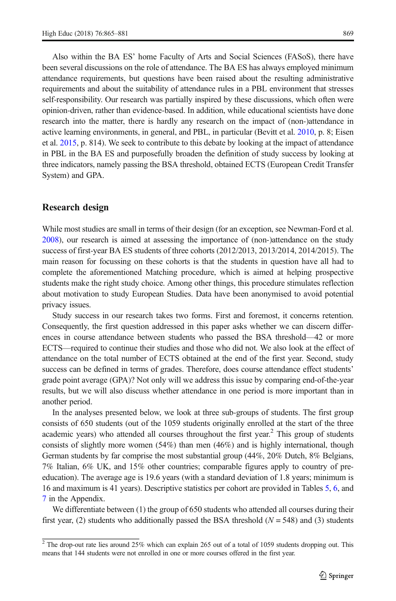Also within the BA ES' home Faculty of Arts and Social Sciences (FASoS), there have been several discussions on the role of attendance. The BA ES has always employed minimum attendance requirements, but questions have been raised about the resulting administrative requirements and about the suitability of attendance rules in a PBL environment that stresses self-responsibility. Our research was partially inspired by these discussions, which often were opinion-driven, rather than evidence-based. In addition, while educational scientists have done research into the matter, there is hardly any research on the impact of (non-)attendance in active learning environments, in general, and PBL, in particular (Bevitt et al. [2010,](#page-14-0) p. 8; Eisen et al. [2015](#page-15-0), p. 814). We seek to contribute to this debate by looking at the impact of attendance in PBL in the BA ES and purposefully broaden the definition of study success by looking at three indicators, namely passing the BSA threshold, obtained ECTS (European Credit Transfer System) and GPA.

#### Research design

While most studies are small in terms of their design (for an exception, see Newman-Ford et al. [2008](#page-15-0)), our research is aimed at assessing the importance of (non-)attendance on the study success of first-year BA ES students of three cohorts (2012/2013, 2013/2014, 2014/2015). The main reason for focussing on these cohorts is that the students in question have all had to complete the aforementioned Matching procedure, which is aimed at helping prospective students make the right study choice. Among other things, this procedure stimulates reflection about motivation to study European Studies. Data have been anonymised to avoid potential privacy issues.

Study success in our research takes two forms. First and foremost, it concerns retention. Consequently, the first question addressed in this paper asks whether we can discern differences in course attendance between students who passed the BSA threshold—42 or more ECTS—required to continue their studies and those who did not. We also look at the effect of attendance on the total number of ECTS obtained at the end of the first year. Second, study success can be defined in terms of grades. Therefore, does course attendance effect students' grade point average (GPA)? Not only will we address this issue by comparing end-of-the-year results, but we will also discuss whether attendance in one period is more important than in another period.

In the analyses presented below, we look at three sub-groups of students. The first group consists of 650 students (out of the 1059 students originally enrolled at the start of the three academic years) who attended all courses throughout the first year. $<sup>2</sup>$  This group of students</sup> consists of slightly more women (54%) than men (46%) and is highly international, though German students by far comprise the most substantial group (44%, 20% Dutch, 8% Belgians, 7% Italian, 6% UK, and 15% other countries; comparable figures apply to country of preeducation). The average age is 19.6 years (with a standard deviation of 1.8 years; minimum is 16 and maximum is 41 years). Descriptive statistics per cohort are provided in Tables [5](#page-12-0), [6,](#page-12-0) and [7](#page-12-0) in the Appendix.

We differentiate between (1) the group of 650 students who attended all courses during their first year, (2) students who additionally passed the BSA threshold ( $N = 548$ ) and (3) students

<sup>&</sup>lt;sup>2</sup> The drop-out rate lies around 25% which can explain 265 out of a total of 1059 students dropping out. This means that 144 students were not enrolled in one or more courses offered in the first year.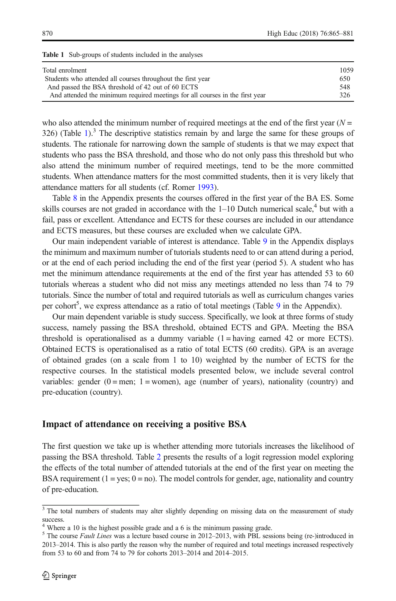Table 1 Sub-groups of students included in the analyses

| Total enrolment                                                              | 1059 |
|------------------------------------------------------------------------------|------|
| Students who attended all courses throughout the first year                  | 650  |
| And passed the BSA threshold of 42 out of 60 ECTS                            | 548  |
| And attended the minimum required meetings for all courses in the first year | 326  |

who also attended the minimum number of required meetings at the end of the first year  $(N =$ 326) (Table 1).<sup>3</sup> The descriptive statistics remain by and large the same for these groups of students. The rationale for narrowing down the sample of students is that we may expect that students who pass the BSA threshold, and those who do not only pass this threshold but who also attend the minimum number of required meetings, tend to be the more committed students. When attendance matters for the most committed students, then it is very likely that attendance matters for all students (cf. Romer [1993\)](#page-16-0).

Table [8](#page-13-0) in the Appendix presents the courses offered in the first year of the BA ES. Some skills courses are not graded in accordance with the  $1-10$  Dutch numerical scale,<sup>4</sup> but with a fail, pass or excellent. Attendance and ECTS for these courses are included in our attendance and ECTS measures, but these courses are excluded when we calculate GPA.

Our main independent variable of interest is attendance. Table [9](#page-13-0) in the Appendix displays the minimum and maximum number of tutorials students need to or can attend during a period, or at the end of each period including the end of the first year (period 5). A student who has met the minimum attendance requirements at the end of the first year has attended 53 to 60 tutorials whereas a student who did not miss any meetings attended no less than 74 to 79 tutorials. Since the number of total and required tutorials as well as curriculum changes varies per cohort<sup>5</sup>, we express attendance as a ratio of total meetings (Table [9](#page-13-0) in the Appendix).

Our main dependent variable is study success. Specifically, we look at three forms of study success, namely passing the BSA threshold, obtained ECTS and GPA. Meeting the BSA threshold is operationalised as a dummy variable  $(1 =$  having earned 42 or more ECTS). Obtained ECTS is operationalised as a ratio of total ECTS (60 credits). GPA is an average of obtained grades (on a scale from 1 to 10) weighted by the number of ECTS for the respective courses. In the statistical models presented below, we include several control variables: gender  $(0 = \text{men}; 1 = \text{woman})$ , age (number of years), nationality (country) and pre-education (country).

#### Impact of attendance on receiving a positive BSA

The first question we take up is whether attending more tutorials increases the likelihood of passing the BSA threshold. Table [2](#page-6-0) presents the results of a logit regression model exploring the effects of the total number of attended tutorials at the end of the first year on meeting the BSA requirement  $(1 = yes; 0 = no)$ . The model controls for gender, age, nationality and country of pre-education.

<sup>&</sup>lt;sup>3</sup> The total numbers of students may alter slightly depending on missing data on the measurement of study success.

Where a 10 is the highest possible grade and a 6 is the minimum passing grade.

<sup>&</sup>lt;sup>5</sup> The course Fault Lines was a lecture based course in 2012–2013, with PBL sessions being (re-)introduced in 2013–2014. This is also partly the reason why the number of required and total meetings increased respectively from 53 to 60 and from 74 to 79 for cohorts 2013–2014 and 2014–2015.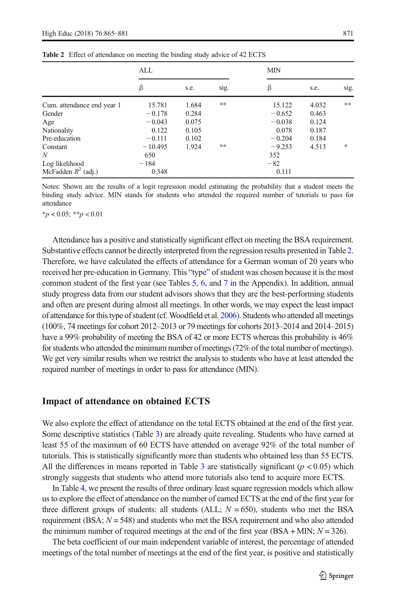|                            | ALL       |       |      |          |       |      | <b>MIN</b> |  |  |
|----------------------------|-----------|-------|------|----------|-------|------|------------|--|--|
|                            | β         | s.e.  | sig. | β        | s.e.  | sig. |            |  |  |
| Cum. attendance end year 1 | 15.781    | 1.684 | **   | 15.122   | 4.032 | **   |            |  |  |
| Gender                     | $-0.178$  | 0.284 |      | $-0.652$ | 0.463 |      |            |  |  |
| Age                        | $-0.043$  | 0.075 |      | $-0.038$ | 0.124 |      |            |  |  |
| Nationality                | 0.122     | 0.105 |      | 0.078    | 0.187 |      |            |  |  |
| Pre-education              | $-0.111$  | 0.102 |      | $-0.204$ | 0.184 |      |            |  |  |
| Constant                   | $-10.495$ | 1.924 | **   | $-9.253$ | 4.513 | *    |            |  |  |
| N                          | 650       |       |      | 352      |       |      |            |  |  |
| Log likelihood             | $-184$    |       |      | $-82$    |       |      |            |  |  |
| McFadden $R^2$ (adj.)      | 0.348     |       |      | 0.111    |       |      |            |  |  |

<span id="page-6-0"></span>Table 2 Effect of attendance on meeting the binding study advice of 42 ECTS

Notes: Shown are the results of a logit regression model estimating the probability that a student meets the binding study advice. MIN stands for students who attended the required number of tutorials to pass for attendance

 $*_{p}$  < 0.05;  $*_{p}$  < 0.01

Attendance has a positive and statistically significant effect on meeting the BSA requirement. Substantive effects cannot be directly interpreted from the regression results presented in Table 2. Therefore, we have calculated the effects of attendance for a German woman of 20 years who received her pre-education in Germany. This "type" of student was chosen because it is the most common student of the first year (see Tables [5,](#page-12-0) [6,](#page-12-0) and [7](#page-12-0) in the Appendix). In addition, annual study progress data from our student advisors shows that they are the best-performing students and often are present during almost all meetings. In other words, we may expect the least impact of attendance for this type of student (cf. Woodfield et al. [2006\)](#page-16-0). Students who attended all meetings (100%, 74 meetings for cohort 2012–2013 or 79 meetings for cohorts 2013–2014 and 2014–2015) have a 99% probability of meeting the BSA of 42 or more ECTS whereas this probability is 46% for students who attended the minimum number of meetings (72% of the total number of meetings). We get very similar results when we restrict the analysis to students who have at least attended the required number of meetings in order to pass for attendance (MIN).

### Impact of attendance on obtained ECTS

We also explore the effect of attendance on the total ECTS obtained at the end of the first year. Some descriptive statistics (Table [3](#page-7-0)) are already quite revealing. Students who have earned at least 55 of the maximum of 60 ECTS have attended on average 92% of the total number of tutorials. This is statistically significantly more than students who obtained less than 55 ECTS. All the differences in means reported in Table [3](#page-7-0) are statistically significant ( $p < 0.05$ ) which strongly suggests that students who attend more tutorials also tend to acquire more ECTS.

In Table [4](#page-7-0), we present the results of three ordinary least square regression models which allow us to explore the effect of attendance on the number of earned ECTS at the end of the first year for three different groups of students: all students (ALL;  $N = 650$ ), students who met the BSA requirement (BSA;  $N = 548$ ) and students who met the BSA requirement and who also attended the minimum number of required meetings at the end of the first year (BSA + MIN;  $N = 326$ ).

The beta coefficient of our main independent variable of interest, the percentage of attended meetings of the total number of meetings at the end of the first year, is positive and statistically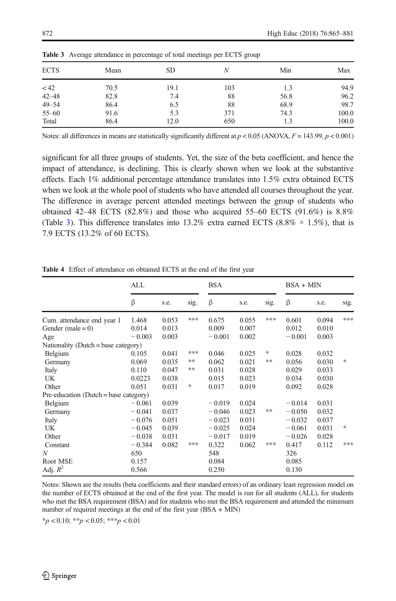| <b>ECTS</b> | Mean | <b>SD</b> | N   | Min  | Max   |
|-------------|------|-----------|-----|------|-------|
| < 42        | 70.5 | 19.1      | 103 | 1.3  | 94.9  |
| $42 - 48$   | 82.8 | 7.4       | 88  | 56.8 | 96.2  |
| $49 - 54$   | 86.4 | 6.5       | 88  | 68.9 | 98.7  |
| $55 - 60$   | 91.6 | 5.3       | 371 | 74.3 | 100.0 |
| Total       | 86.4 | 12.0      | 650 | 1.3  | 100.0 |

<span id="page-7-0"></span>Table 3 Average attendance in percentage of total meetings per ECTS group

Notes: all differences in means are statistically significantly different at  $p < 0.05$  (ANOVA,  $F = 143.99$ ,  $p < 0.001$ )

significant for all three groups of students. Yet, the size of the beta coefficient, and hence the impact of attendance, is declining. This is clearly shown when we look at the substantive effects. Each 1% additional percentage attendance translates into 1.5% extra obtained ECTS when we look at the whole pool of students who have attended all courses throughout the year. The difference in average percent attended meetings between the group of students who obtained 42–48 ECTS  $(82.8\%)$  and those who acquired 55–60 ECTS  $(91.6\%)$  is  $8.8\%$ (Table 3). This difference translates into 13.2% extra earned ECTS (8.8%  $\times$  1.5%), that is 7.9 ECTS (13.2% of 60 ECTS).

|                                        | ALL      |       |      | <b>BSA</b> |       |      | BSA + MIN |       |      |
|----------------------------------------|----------|-------|------|------------|-------|------|-----------|-------|------|
|                                        | $\beta$  | s.e.  | sig. | $\beta$    | s.e.  | sig. | β         | s.e.  | sig. |
| Cum. attendance end year 1             | 1.468    | 0.053 | ***  | 0.675      | 0.055 | ***  | 0.601     | 0.094 | ***  |
| Gender (male $= 0$ )                   | 0.014    | 0.013 |      | 0.009      | 0.007 |      | 0.012     | 0.010 |      |
| Age                                    | $-0.003$ | 0.003 |      | $-0.001$   | 0.002 |      | $-0.001$  | 0.003 |      |
| Nationality (Dutch = base category)    |          |       |      |            |       |      |           |       |      |
| Belgium                                | 0.105    | 0.041 | ***  | 0.046      | 0.025 | *    | 0.028     | 0.032 |      |
| Germany                                | 0.069    | 0.035 | **   | 0.062      | 0.021 | **   | 0.056     | 0.030 | *    |
| Italy                                  | 0.110    | 0.047 | **   | 0.031      | 0.028 |      | 0.029     | 0.033 |      |
| UK                                     | 0.0223   | 0.038 |      | 0.015      | 0.023 |      | 0.034     | 0.030 |      |
| Other                                  | 0.051    | 0.031 | *    | 0.017      | 0.019 |      | 0.092     | 0.028 |      |
| $Pre-eduction (Dutch = base category)$ |          |       |      |            |       |      |           |       |      |
| Belgium                                | $-0.061$ | 0.039 |      | $-0.019$   | 0.024 |      | $-0.014$  | 0.031 |      |
| Germany                                | $-0.041$ | 0.037 |      | $-0.046$   | 0.023 | **   | $-0.050$  | 0.032 |      |
| Italy                                  | $-0.076$ | 0.051 |      | $-0.023$   | 0.031 |      | $-0.032$  | 0.037 |      |
| UK                                     | $-0.045$ | 0.039 |      | $-0.025$   | 0.024 |      | $-0.061$  | 0.031 | *    |
| Other                                  | $-0.038$ | 0.031 |      | $-0.017$   | 0.019 |      | $-0.026$  | 0.028 |      |
| Constant                               | $-0.384$ | 0.082 | ***  | 0.322      | 0.062 | ***  | 0.417     | 0.112 | ***  |
| N                                      | 650      |       |      | 548        |       |      | 326       |       |      |
| Root MSE                               | 0.157    |       |      | 0.084      |       |      | 0.085     |       |      |
| Adj. $R^2$                             | 0.566    |       |      | 0.250      |       |      | 0.130     |       |      |

Table 4 Effect of attendance on obtained ECTS at the end of the first year

Notes: Shown are the results (beta coefficients and their standard errors) of an ordinary least regression model on the number of ECTS obtained at the end of the first year. The model is run for all students (ALL), for students who met the BSA requirement (BSA) and for students who met the BSA requirement and attended the minimum number of required meetings at the end of the first year (BSA + MIN)

 $*_{p}$  < 0.10;  $*_{p}$  < 0.05;  $*_{p}$  < 0.01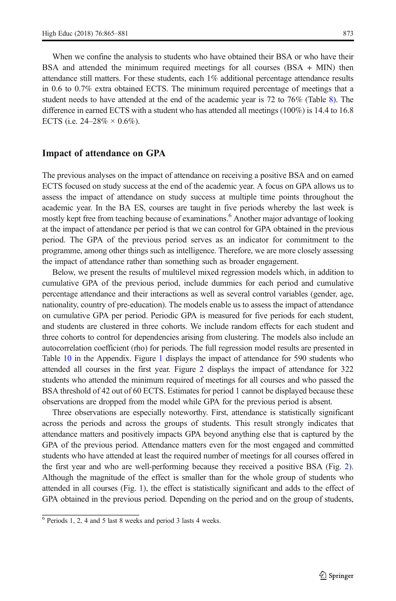When we confine the analysis to students who have obtained their BSA or who have their BSA and attended the minimum required meetings for all courses (BSA + MIN) then attendance still matters. For these students, each 1% additional percentage attendance results in 0.6 to 0.7% extra obtained ECTS. The minimum required percentage of meetings that a student needs to have attended at the end of the academic year is 72 to 76% (Table [8\)](#page-13-0). The difference in earned ECTS with a student who has attended all meetings (100%) is 14.4 to 16.8 ECTS (i.e. 24–28%  $\times$  0.6%).

#### Impact of attendance on GPA

The previous analyses on the impact of attendance on receiving a positive BSA and on earned ECTS focused on study success at the end of the academic year. A focus on GPA allows us to assess the impact of attendance on study success at multiple time points throughout the academic year. In the BA ES, courses are taught in five periods whereby the last week is mostly kept free from teaching because of examinations.<sup>6</sup> Another major advantage of looking at the impact of attendance per period is that we can control for GPA obtained in the previous period. The GPA of the previous period serves as an indicator for commitment to the programme, among other things such as intelligence. Therefore, we are more closely assessing the impact of attendance rather than something such as broader engagement.

Below, we present the results of multilevel mixed regression models which, in addition to cumulative GPA of the previous period, include dummies for each period and cumulative percentage attendance and their interactions as well as several control variables (gender, age, nationality, country of pre-education). The models enable us to assess the impact of attendance on cumulative GPA per period. Periodic GPA is measured for five periods for each student, and students are clustered in three cohorts. We include random effects for each student and three cohorts to control for dependencies arising from clustering. The models also include an autocorrelation coefficient (rho) for periods. The full regression model results are presented in Table [10](#page-14-0) in the Appendix. Figure [1](#page-9-0) displays the impact of attendance for 590 students who attended all courses in the first year. Figure [2](#page-9-0) displays the impact of attendance for 322 students who attended the minimum required of meetings for all courses and who passed the BSA threshold of 42 out of 60 ECTS. Estimates for period 1 cannot be displayed because these observations are dropped from the model while GPA for the previous period is absent.

Three observations are especially noteworthy. First, attendance is statistically significant across the periods and across the groups of students. This result strongly indicates that attendance matters and positively impacts GPA beyond anything else that is captured by the GPA of the previous period. Attendance matters even for the most engaged and committed students who have attended at least the required number of meetings for all courses offered in the first year and who are well-performing because they received a positive BSA (Fig. [2](#page-9-0)). Although the magnitude of the effect is smaller than for the whole group of students who attended in all courses (Fig. [1](#page-9-0)), the effect is statistically significant and adds to the effect of GPA obtained in the previous period. Depending on the period and on the group of students,

<sup>6</sup> Periods 1, 2, 4 and 5 last 8 weeks and period 3 lasts 4 weeks.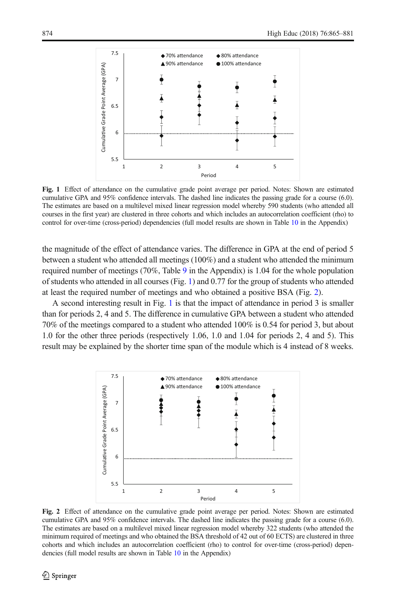<span id="page-9-0"></span>

Fig. 1 Effect of attendance on the cumulative grade point average per period. Notes: Shown are estimated cumulative GPA and 95% confidence intervals. The dashed line indicates the passing grade for a course (6.0). The estimates are based on a multilevel mixed linear regression model whereby 590 students (who attended all courses in the first year) are clustered in three cohorts and which includes an autocorrelation coefficient (rho) to control for over-time (cross-period) dependencies (full model results are shown in Table [10](#page-14-0) in the Appendix)

the magnitude of the effect of attendance varies. The difference in GPA at the end of period 5 between a student who attended all meetings (100%) and a student who attended the minimum required number of meetings (70%, Table [9](#page-13-0) in the Appendix) is 1.04 for the whole population of students who attended in all courses (Fig. 1) and 0.77 for the group of students who attended at least the required number of meetings and who obtained a positive BSA (Fig. 2).

A second interesting result in Fig. 1 is that the impact of attendance in period 3 is smaller than for periods 2, 4 and 5. The difference in cumulative GPA between a student who attended 70% of the meetings compared to a student who attended 100% is 0.54 for period 3, but about 1.0 for the other three periods (respectively 1.06, 1.0 and 1.04 for periods 2, 4 and 5). This result may be explained by the shorter time span of the module which is 4 instead of 8 weeks.



Fig. 2 Effect of attendance on the cumulative grade point average per period. Notes: Shown are estimated cumulative GPA and 95% confidence intervals. The dashed line indicates the passing grade for a course (6.0). The estimates are based on a multilevel mixed linear regression model whereby 322 students (who attended the minimum required of meetings and who obtained the BSA threshold of 42 out of 60 ECTS) are clustered in three cohorts and which includes an autocorrelation coefficient (rho) to control for over-time (cross-period) dependencies (full model results are shown in Table [10](#page-14-0) in the Appendix)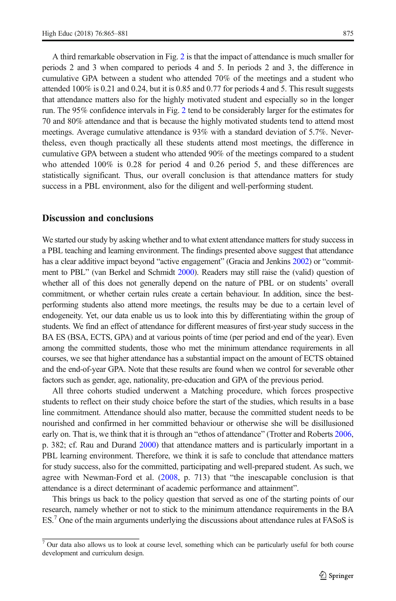A third remarkable observation in Fig. [2](#page-9-0) is that the impact of attendance is much smaller for periods 2 and 3 when compared to periods 4 and 5. In periods 2 and 3, the difference in cumulative GPA between a student who attended 70% of the meetings and a student who attended 100% is 0.21 and 0.24, but it is 0.85 and 0.77 for periods 4 and 5. This result suggests that attendance matters also for the highly motivated student and especially so in the longer run. The 95% confidence intervals in Fig. [2](#page-9-0) tend to be considerably larger for the estimates for 70 and 80% attendance and that is because the highly motivated students tend to attend most meetings. Average cumulative attendance is 93% with a standard deviation of 5.7%. Nevertheless, even though practically all these students attend most meetings, the difference in cumulative GPA between a student who attended 90% of the meetings compared to a student who attended 100% is 0.28 for period 4 and 0.26 period 5, and these differences are statistically significant. Thus, our overall conclusion is that attendance matters for study success in a PBL environment, also for the diligent and well-performing student.

#### Discussion and conclusions

We started our study by asking whether and to what extent attendance matters for study success in a PBL teaching and learning environment. The findings presented above suggest that attendance has a clear additive impact beyond "active engagement" (Gracia and Jenkins [2002](#page-15-0)) or "commitment to PBL" (van Berkel and Schmidt [2000\)](#page-16-0). Readers may still raise the (valid) question of whether all of this does not generally depend on the nature of PBL or on students' overall commitment, or whether certain rules create a certain behaviour. In addition, since the bestperforming students also attend more meetings, the results may be due to a certain level of endogeneity. Yet, our data enable us us to look into this by differentiating within the group of students. We find an effect of attendance for different measures of first-year study success in the BA ES (BSA, ECTS, GPA) and at various points of time (per period and end of the year). Even among the committed students, those who met the minimum attendance requirements in all courses, we see that higher attendance has a substantial impact on the amount of ECTS obtained and the end-of-year GPA. Note that these results are found when we control for severable other factors such as gender, age, nationality, pre-education and GPA of the previous period.

All three cohorts studied underwent a Matching procedure, which forces prospective students to reflect on their study choice before the start of the studies, which results in a base line commitment. Attendance should also matter, because the committed student needs to be nourished and confirmed in her committed behaviour or otherwise she will be disillusioned early on. That is, we think that it is through an "ethos of attendance" (Trotter and Roberts [2006](#page-16-0), p. 382; cf. Rau and Durand [2000](#page-15-0)) that attendance matters and is particularly important in a PBL learning environment. Therefore, we think it is safe to conclude that attendance matters for study success, also for the committed, participating and well-prepared student. As such, we agree with Newman-Ford et al.  $(2008, p. 713)$  $(2008, p. 713)$  $(2008, p. 713)$  that "the inescapable conclusion is that attendance is a direct determinant of academic performance and attainment".

This brings us back to the policy question that served as one of the starting points of our research, namely whether or not to stick to the minimum attendance requirements in the BA ES.7 One of the main arguments underlying the discussions about attendance rules at FASoS is

<sup>7</sup> Our data also allows us to look at course level, something which can be particularly useful for both course development and curriculum design.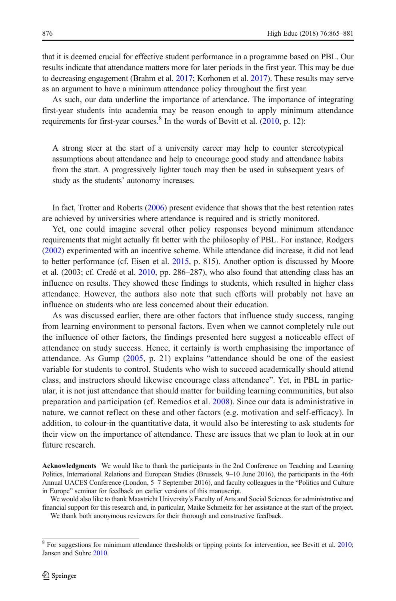that it is deemed crucial for effective student performance in a programme based on PBL. Our results indicate that attendance matters more for later periods in the first year. This may be due to decreasing engagement (Brahm et al. [2017;](#page-15-0) Korhonen et al. [2017\)](#page-15-0). These results may serve as an argument to have a minimum attendance policy throughout the first year.

As such, our data underline the importance of attendance. The importance of integrating first-year students into academia may be reason enough to apply minimum attendance requirements for first-year courses.<sup>8</sup> In the words of Bevitt et al.  $(2010, p. 12)$  $(2010, p. 12)$ :

A strong steer at the start of a university career may help to counter stereotypical assumptions about attendance and help to encourage good study and attendance habits from the start. A progressively lighter touch may then be used in subsequent years of study as the students' autonomy increases.

In fact, Trotter and Roberts ([2006](#page-16-0)) present evidence that shows that the best retention rates are achieved by universities where attendance is required and is strictly monitored.

Yet, one could imagine several other policy responses beyond minimum attendance requirements that might actually fit better with the philosophy of PBL. For instance, Rodgers ([2002](#page-16-0)) experimented with an incentive scheme. While attendance did increase, it did not lead to better performance (cf. Eisen et al. [2015,](#page-15-0) p. 815). Another option is discussed by Moore et al. (2003; cf. Credé et al. [2010](#page-15-0), pp. 286–287), who also found that attending class has an influence on results. They showed these findings to students, which resulted in higher class attendance. However, the authors also note that such efforts will probably not have an influence on students who are less concerned about their education.

As was discussed earlier, there are other factors that influence study success, ranging from learning environment to personal factors. Even when we cannot completely rule out the influence of other factors, the findings presented here suggest a noticeable effect of attendance on study success. Hence, it certainly is worth emphasising the importance of attendance. As Gump ([2005](#page-15-0), p. 21) explains "attendance should be one of the easiest variable for students to control. Students who wish to succeed academically should attend class, and instructors should likewise encourage class attendance". Yet, in PBL in particular, it is not just attendance that should matter for building learning communities, but also preparation and participation (cf. Remedios et al. [2008](#page-15-0)). Since our data is administrative in nature, we cannot reflect on these and other factors (e.g. motivation and self-efficacy). In addition, to colour-in the quantitative data, it would also be interesting to ask students for their view on the importance of attendance. These are issues that we plan to look at in our future research.

Acknowledgments We would like to thank the participants in the 2nd Conference on Teaching and Learning Politics, International Relations and European Studies (Brussels, 9–10 June 2016), the participants in the 46th Annual UACES Conference (London, 5–7 September 2016), and faculty colleagues in the "Politics and Culture in Europe" seminar for feedback on earlier versions of this manuscript.

We would also like to thank Maastricht University's Faculty of Arts and Social Sciences for administrative and financial support for this research and, in particular, Maike Schmeitz for her assistance at the start of the project.

We thank both anonymous reviewers for their thorough and constructive feedback.

<sup>&</sup>lt;sup>8</sup> For suggestions for minimum attendance thresholds or tipping points for intervention, see Bevitt et al. [2010](#page-14-0); Jansen and Suhre [2010.](#page-15-0)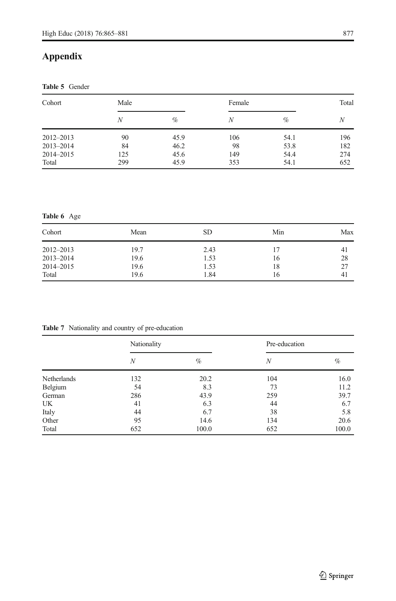# <span id="page-12-0"></span>Appendix

### Table 5 Gender

| Cohort    | Male |      | Female | Total |     |
|-----------|------|------|--------|-------|-----|
|           | N    | $\%$ | N      | $\%$  | N   |
| 2012-2013 | 90   | 45.9 | 106    | 54.1  | 196 |
| 2013-2014 | 84   | 46.2 | 98     | 53.8  | 182 |
| 2014-2015 | 125  | 45.6 | 149    | 54.4  | 274 |
| Total     | 299  | 45.9 | 353    | 54.1  | 652 |

## Table 6 Age

| Cohort        | Mean | SD   | Min | Max |
|---------------|------|------|-----|-----|
| $2012 - 2013$ | 19.7 | 2.43 | 17  | 41  |
| 2013-2014     | 19.6 | 1.53 | 16  | 28  |
| 2014-2015     | 19.6 | 1.53 | 18  | 27  |
| Total         | 19.6 | 1.84 | 16  | 41  |

Table 7 Nationality and country of pre-education

|             | Nationality |       | Pre-education |       |  |
|-------------|-------------|-------|---------------|-------|--|
|             | N           | $\%$  | N             | $\%$  |  |
| Netherlands | 132         | 20.2  | 104           | 16.0  |  |
| Belgium     | 54          | 8.3   | 73            | 11.2  |  |
| German      | 286         | 43.9  | 259           | 39.7  |  |
| UK          | 41          | 6.3   | 44            | 6.7   |  |
| Italy       | 44          | 6.7   | 38            | 5.8   |  |
| Other       | 95          | 14.6  | 134           | 20.6  |  |
| Total       | 652         | 100.0 | 652           | 100.0 |  |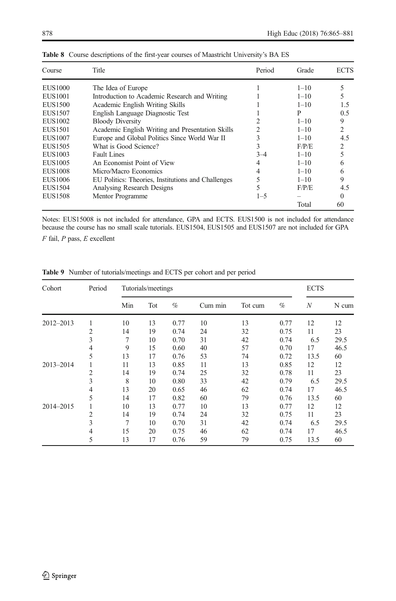| Course         | Title                                              | Period  | Grade    | <b>ECTS</b>    |
|----------------|----------------------------------------------------|---------|----------|----------------|
| EUS1000        | The Idea of Europe                                 |         | $1 - 10$ | 5              |
| <b>EUS1001</b> | Introduction to Academic Research and Writing      |         | $1 - 10$ | 5              |
| <b>EUS1500</b> | Academic English Writing Skills                    |         | $1 - 10$ | 1.5            |
| EUS1507        | English Language Diagnostic Test                   |         | P        | 0.5            |
| EUS1002        | <b>Bloody Diversity</b>                            |         | $1 - 10$ | 9              |
| EUS1501        | Academic English Writing and Presentation Skills   |         | $1 - 10$ | 2              |
| <b>EUS1007</b> | Europe and Global Politics Since World War II      |         | $1 - 10$ | 4.5            |
| EUS1505        | What is Good Science?                              |         | F/P/E    | $\overline{c}$ |
| EUS1003        | Fault Lines                                        | $3 - 4$ | $1 - 10$ |                |
| EUS1005        | An Economist Point of View                         |         | $1 - 10$ |                |
| EUS1008        | Micro/Macro Economics                              |         | $1 - 10$ | 6              |
| <b>EUS1006</b> | EU Politics: Theories, Institutions and Challenges |         | $1 - 10$ | 9              |
| EUS1504        | Analysing Research Designs                         |         | F/P/E    | 4.5            |
| EUS1508        | Mentor Programme                                   | $1 - 5$ |          |                |
|                |                                                    |         | Total    | 60             |

<span id="page-13-0"></span>Table 8 Course descriptions of the first-year courses of Maastricht University's BA ES

Notes: EUS15008 is not included for attendance, GPA and ECTS. EUS1500 is not included for attendance because the course has no small scale tutorials. EUS1504, EUS1505 and EUS1507 are not included for GPA  $F$  fail,  $P$  pass,  $E$  excellent

| Cohort    | Period         |     | Tutorials/meetings |      |         |         |      | <b>ECTS</b> |       |  |
|-----------|----------------|-----|--------------------|------|---------|---------|------|-------------|-------|--|
|           |                | Min | Tot                | $\%$ | Cum min | Tot cum | $\%$ | N           | N cum |  |
| 2012-2013 | 1              | 10  | 13                 | 0.77 | 10      | 13      | 0.77 | 12          | 12    |  |
|           | 2              | 14  | 19                 | 0.74 | 24      | 32      | 0.75 | 11          | 23    |  |
|           | 3              | 7   | 10                 | 0.70 | 31      | 42      | 0.74 | 6.5         | 29.5  |  |
|           | $\overline{4}$ | 9   | 15                 | 0.60 | 40      | 57      | 0.70 | 17          | 46.5  |  |
|           | 5              | 13  | 17                 | 0.76 | 53      | 74      | 0.72 | 13.5        | 60    |  |
| 2013-2014 | 1              | 11  | 13                 | 0.85 | 11      | 13      | 0.85 | 12          | 12    |  |
|           | 2              | 14  | 19                 | 0.74 | 25      | 32      | 0.78 | 11          | 23    |  |
|           | 3              | 8   | 10                 | 0.80 | 33      | 42      | 0.79 | 6.5         | 29.5  |  |
|           | 4              | 13  | 20                 | 0.65 | 46      | 62      | 0.74 | 17          | 46.5  |  |
|           | 5              | 14  | 17                 | 0.82 | 60      | 79      | 0.76 | 13.5        | 60    |  |
| 2014-2015 | L              | 10  | 13                 | 0.77 | 10      | 13      | 0.77 | 12          | 12    |  |
|           | $\overline{c}$ | 14  | 19                 | 0.74 | 24      | 32      | 0.75 | 11          | 23    |  |
|           | 3              | 7   | 10                 | 0.70 | 31      | 42      | 0.74 | 6.5         | 29.5  |  |
|           | $\overline{4}$ | 15  | 20                 | 0.75 | 46      | 62      | 0.74 | 17          | 46.5  |  |
|           | 5              | 13  | 17                 | 0.76 | 59      | 79      | 0.75 | 13.5        | 60    |  |

Table 9 Number of tutorials/meetings and ECTS per cohort and per period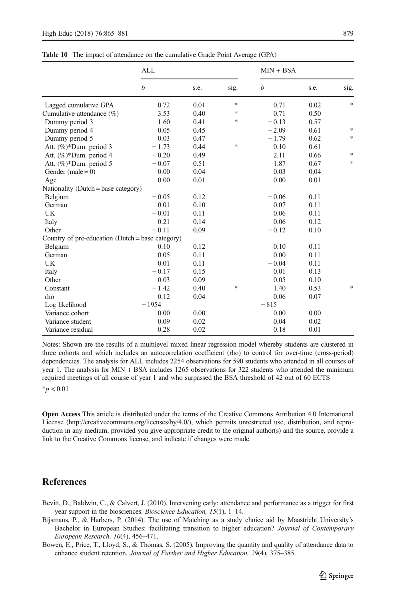|                                                  | ALL     |      | $MIN + BSA$ |         |      |               |
|--------------------------------------------------|---------|------|-------------|---------|------|---------------|
|                                                  | b       | s.e. | sig.        | b       | s.e. | sig.          |
| Lagged cumulative GPA                            | 0.72    | 0.01 | ∗           | 0.71    | 0.02 | $\ast$        |
| Cumulative attendance (%)                        | 3.53    | 0.40 | *           | 0.71    | 0.50 |               |
| Dummy period 3                                   | 1.60    | 0.41 | *           | $-0.13$ | 0.57 |               |
| Dummy period 4                                   | 0.05    | 0.45 |             | $-2.09$ | 0.61 | $\frac{1}{2}$ |
| Dummy period 5                                   | 0.03    | 0.47 |             | $-1.79$ | 0.62 | ∗             |
| Att. $(\%)^*$ Dum. period 3                      | $-1.73$ | 0.44 | *           | 0.10    | 0.61 |               |
| Att. $(\%)^*$ Dum. period 4                      | $-0.20$ | 0.49 |             | 2.11    | 0.66 | $\ast$        |
| Att. $(\%)^*$ Dum. period 5                      | $-0.07$ | 0.51 |             | 1.87    | 0.67 | ×.            |
| Gender (male $= 0$ )                             | 0.00    | 0.04 |             | 0.03    | 0.04 |               |
| Age                                              | 0.00    | 0.01 |             | 0.00    | 0.01 |               |
| Nationality (Dutch = base category)              |         |      |             |         |      |               |
| Belgium                                          | $-0.05$ | 0.12 |             | $-0.06$ | 0.11 |               |
| German                                           | 0.01    | 0.10 |             | 0.07    | 0.11 |               |
| UK                                               | $-0.01$ | 0.11 |             | 0.06    | 0.11 |               |
| Italy                                            | 0.21    | 0.14 |             | 0.06    | 0.12 |               |
| Other                                            | $-0.11$ | 0.09 |             | $-0.12$ | 0.10 |               |
| Country of pre-education (Dutch = base category) |         |      |             |         |      |               |
| Belgium                                          | 0.10    | 0.12 |             | 0.10    | 0.11 |               |
| German                                           | 0.05    | 0.11 |             | 0.00    | 0.11 |               |
| UK                                               | 0.01    | 0.11 |             | $-0.04$ | 0.11 |               |
| Italy                                            | $-0.17$ | 0.15 |             | 0.01    | 0.13 |               |
| Other                                            | 0.03    | 0.09 |             | 0.05    | 0.10 |               |
| Constant                                         | $-1.42$ | 0.40 | ∗           | 1.40    | 0.53 | ∗             |
| rho                                              | 0.12    | 0.04 |             | 0.06    | 0.07 |               |
| Log likelihood                                   | $-1954$ |      |             | $-815$  |      |               |
| Variance cohort                                  | 0.00    | 0.00 |             | 0.00    | 0.00 |               |
| Variance student                                 | 0.09    | 0.02 |             | 0.04    | 0.02 |               |
| Variance residual                                | 0.28    | 0.02 |             | 0.18    | 0.01 |               |

<span id="page-14-0"></span>Table 10 The impact of attendance on the cumulative Grade Point Average (GPA)

Notes: Shown are the results of a multilevel mixed linear regression model whereby students are clustered in three cohorts and which includes an autocorrelation coefficient (rho) to control for over-time (cross-period) dependencies. The analysis for ALL includes 2254 observations for 590 students who attended in all courses of year 1. The analysis for MIN + BSA includes 1265 observations for 322 students who attended the minimum required meetings of all course of year 1 and who surpassed the BSA threshold of 42 out of 60 ECTS

 $*_{p}$  < 0.01

Open Access This article is distributed under the terms of the Creative Commons Attribution 4.0 International License (http://creativecommons.org/licenses/by/4.0/), which permits unrestricted use, distribution, and reproduction in any medium, provided you give appropriate credit to the original author(s) and the source, provide a link to the Creative Commons license, and indicate if changes were made.

## **References**

- Bevitt, D., Baldwin, C., & Calvert, J. (2010). Intervening early: attendance and performance as a trigger for first year support in the biosciences. Bioscience Education, 15(1), 1-14.
- Bijsmans, P., & Harbers, P. (2014). The use of Matching as a study choice aid by Maastricht University's Bachelor in European Studies: facilitating transition to higher education? Journal of Contemporary European Research, 10(4), 456–471.
- Bowen, E., Price, T., Lloyd, S., & Thomas, S. (2005). Improving the quantity and quality of attendance data to enhance student retention. Journal of Further and Higher Education, 29(4), 375–385.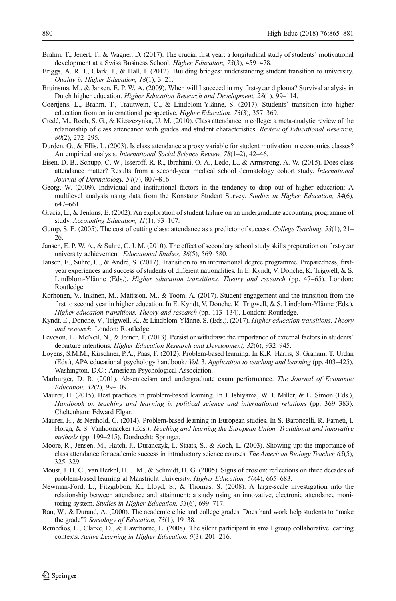- <span id="page-15-0"></span>Brahm, T., Jenert, T., & Wagner, D. (2017). The crucial first year: a longitudinal study of students' motivational development at a Swiss Business School. Higher Education, 73(3), 459–478.
- Briggs, A. R. J., Clark, J., & Hall, I. (2012). Building bridges: understanding student transition to university. Quality in Higher Education, 18(1), 3–21.
- Bruinsma, M., & Jansen, E. P. W. A. (2009). When will I succeed in my first-year diploma? Survival analysis in Dutch higher education. Higher Education Research and Development, 28(1), 99–114.
- Coertjens, L., Brahm, T., Trautwein, C., & Lindblom-Ylänne, S. (2017). Students' transition into higher education from an international perspective. Higher Education, 73(3), 357–369.
- Credé, M., Roch, S. G., & Kieszczynka, U. M. (2010). Class attendance in college: a meta-analytic review of the relationship of class attendance with grades and student characteristics. Review of Educational Research, 80(2), 272–295.
- Durden, G., & Ellis, L. (2003). Is class attendance a proxy variable for student motivation in economics classes? An empirical analysis. International Social Science Review, 78(1–2), 42–46.
- Eisen, D. B., Schupp, C. W., Isseroff, R. R., Ibrahimi, O. A., Ledo, L., & Armstrong, A. W. (2015). Does class attendance matter? Results from a second-year medical school dermatology cohort study. International Journal of Dermatology, 54(7), 807–816.
- Georg, W. (2009). Individual and institutional factors in the tendency to drop out of higher education: A multilevel analysis using data from the Konstanz Student Survey. Studies in Higher Education, 34(6), 647–661.
- Gracia, L., & Jenkins, E. (2002). An exploration of student failure on an undergraduate accounting programme of study. Accounting Education, 11(1), 93-107.
- Gump, S. E. (2005). The cost of cutting class: attendance as a predictor of success. College Teaching, 53(1), 21– 26.
- Jansen, E. P. W. A., & Suhre, C. J. M. (2010). The effect of secondary school study skills preparation on first-year university achievement. Educational Studies, 36(5), 569–580.
- Jansen, E., Suhre, C., & André, S. (2017). Transition to an international degree programme. Preparedness, firstyear experiences and success of students of different nationalities. In E. Kyndt, V. Donche, K. Trigwell, & S. Lindblom-Ylänne (Eds.), Higher education transitions. Theory and research (pp. 47–65). London: Routledge.
- Korhonen, V., Inkinen, M., Mattsson, M., & Toom, A. (2017). Student engagement and the transition from the first to second year in higher education. In E. Kyndt, V. Donche, K. Trigwell, & S. Lindblom-Ylänne (Eds.), Higher education transitions. Theory and research (pp. 113–134). London: Routledge.
- Kyndt, E., Donche, V., Trigwell, K., & Lindblom-Ylänne, S. (Eds.). (2017). Higher education transitions. Theory and research. London: Routledge.
- Leveson, L., McNeil, N., & Joiner, T. (2013). Persist or withdraw: the importance of external factors in students' departure intentions. Higher Education Research and Development, 32(6), 932–945.
- Loyens, S.M.M., Kirschner, P.A., Paas, F. (2012). Problem-based learning. In K.R. Harris, S. Graham, T. Urdan (Eds.), APA educational psychology handbook: Vol. 3. Application to teaching and learning (pp. 403–425). Washington, D.C.: American Psychological Association.
- Marburger, D. R. (2001). Absenteeism and undergraduate exam performance. The Journal of Economic Education, 32(2), 99–109.
- Maurer, H. (2015). Best practices in problem-based learning. In J. Ishiyama, W. J. Miller, & E. Simon (Eds.), Handbook on teaching and learning in political science and international relations (pp. 369–383). Cheltenham: Edward Elgar.
- Maurer, H., & Neuhold, C. (2014). Problem-based learning in European studies. In S. Baroncelli, R. Farneti, I. Horga, & S. Vanhoonacker (Eds.), Teaching and learning the European Union. Traditional and innovative methods (pp. 199–215). Dordrecht: Springer.
- Moore, R., Jensen, M., Hatch, J., Duranczyk, I., Staats, S., & Koch, L. (2003). Showing up: the importance of class attendance for academic success in introductory science courses. The American Biology Teacher, 65(5), 325–329.
- Moust, J. H. C., van Berkel, H. J. M., & Schmidt, H. G. (2005). Signs of erosion: reflections on three decades of problem-based learning at Maastricht University. Higher Education, 50(4), 665–683.
- Newman-Ford, L., Fitzgibbon, K., Lloyd, S., & Thomas, S. (2008). A large-scale investigation into the relationship between attendance and attainment: a study using an innovative, electronic attendance monitoring system. Studies in Higher Education, 33(6), 699–717.
- Rau, W., & Durand, A. (2000). The academic ethic and college grades. Does hard work help students to "make the grade"? Sociology of Education, 73(1), 19–38.
- Remedios, L., Clarke, D., & Hawthorne, L. (2008). The silent participant in small group collaborative learning contexts. Active Learning in Higher Education, 9(3), 201–216.